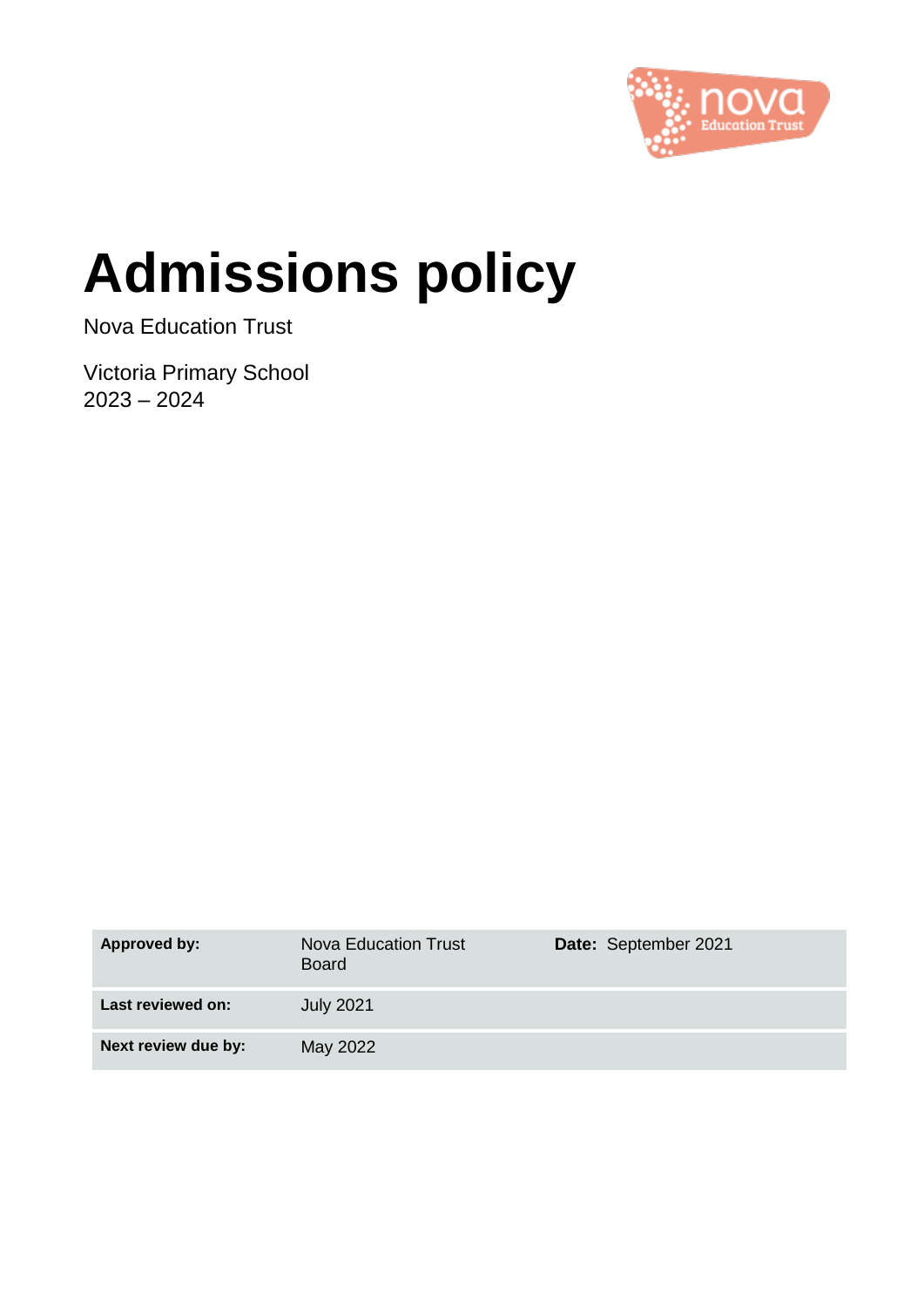

# **Admissions policy**

Nova Education Trust

Victoria Primary School 2023 – 2024

| Approved by:        | Nova Education Trust<br><b>Board</b> | Date: September 2021 |
|---------------------|--------------------------------------|----------------------|
| Last reviewed on:   | <b>July 2021</b>                     |                      |
| Next review due by: | May 2022                             |                      |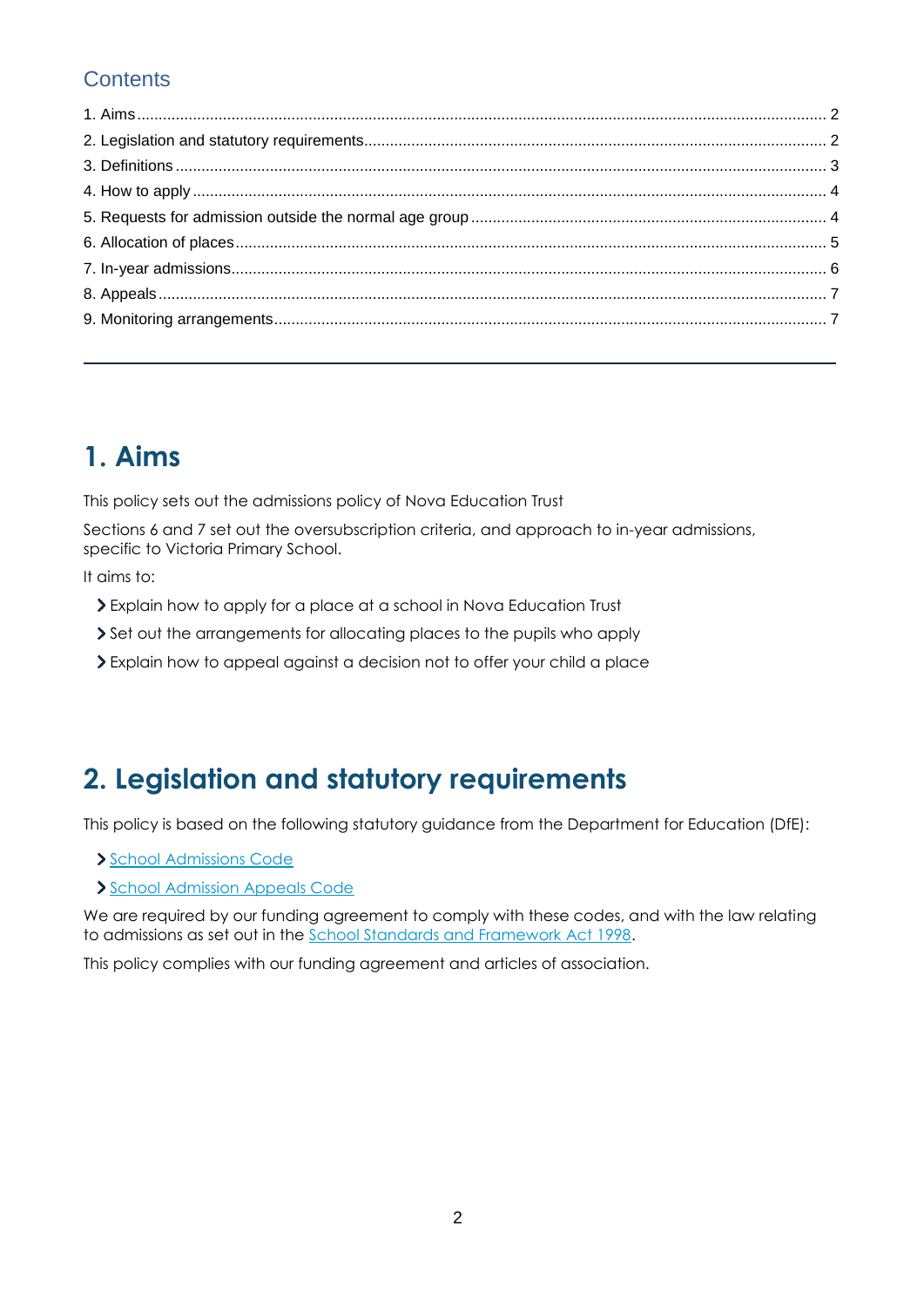#### **Contents**

## **1. Aims**

This policy sets out the admissions policy of Nova Education Trust

Sections 6 and 7 set out the oversubscription criteria, and approach to in-year admissions, specific to Victoria Primary School.

It aims to:

- Explain how to apply for a place at a school in Nova Education Trust
- Set out the arrangements for allocating places to the pupils who apply
- Explain how to appeal against a decision not to offer your child a place

## **2. Legislation and statutory requirements**

This policy is based on the following statutory guidance from the Department for Education (DfE):

[School Admissions Code](https://www.gov.uk/government/publications/school-admissions-code--2)

[School Admission Appeals Code](https://www.gov.uk/government/publications/school-admissions-appeals-code)

We are required by our funding agreement to comply with these codes, and with the law relating to admissions as set out in the [School Standards and Framework Act 1998.](http://www.legislation.gov.uk/ukpga/1998/31/contents)

This policy complies with our funding agreement and articles of association.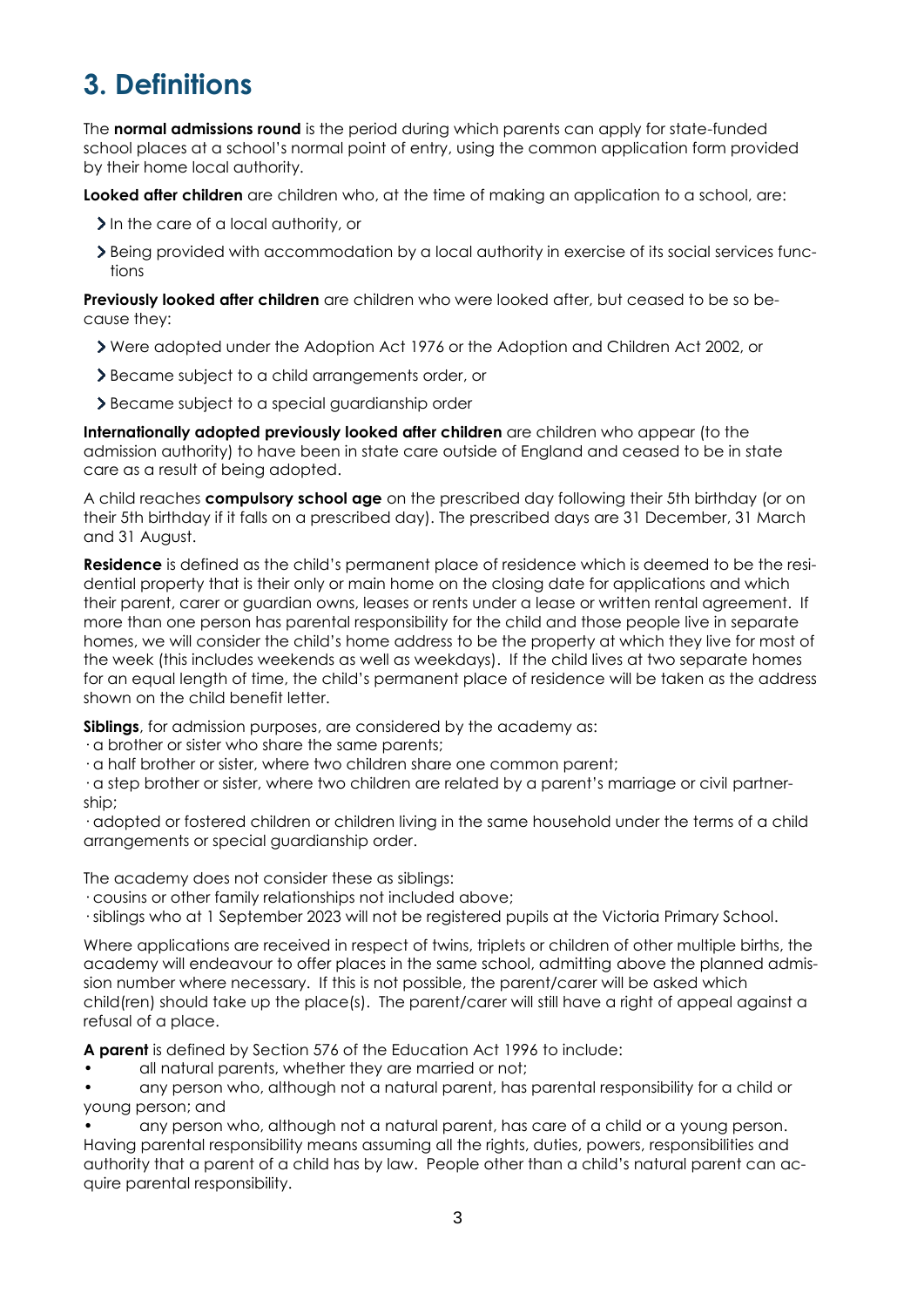# **3. Definitions**

The **normal admissions round** is the period during which parents can apply for state-funded school places at a school's normal point of entry, using the common application form provided by their home local authority.

**Looked after children** are children who, at the time of making an application to a school, are:

- In the care of a local authority, or
- $\geq$  Being provided with accommodation by a local authority in exercise of its social services functions

**Previously looked after children** are children who were looked after, but ceased to be so because they:

- Were adopted under the Adoption Act 1976 or the Adoption and Children Act 2002, or
- Became subject to a child arrangements order, or
- > Became subject to a special guardianship order

**Internationally adopted previously looked after children** are children who appear (to the admission authority) to have been in state care outside of England and ceased to be in state care as a result of being adopted.

A child reaches **compulsory school age** on the prescribed day following their 5th birthday (or on their 5th birthday if it falls on a prescribed day). The prescribed days are 31 December, 31 March and 31 August.

**Residence** is defined as the child's permanent place of residence which is deemed to be the residential property that is their only or main home on the closing date for applications and which their parent, carer or guardian owns, leases or rents under a lease or written rental agreement. If more than one person has parental responsibility for the child and those people live in separate homes, we will consider the child's home address to be the property at which they live for most of the week (this includes weekends as well as weekdays). If the child lives at two separate homes for an equal length of time, the child's permanent place of residence will be taken as the address shown on the child benefit letter.

**Siblings**, for admission purposes, are considered by the academy as:

- · a brother or sister who share the same parents;
- · a half brother or sister, where two children share one common parent;

· a step brother or sister, where two children are related by a parent's marriage or civil partnership;

· adopted or fostered children or children living in the same household under the terms of a child arrangements or special guardianship order.

The academy does not consider these as siblings:

- · cousins or other family relationships not included above;
- · siblings who at 1 September 2023 will not be registered pupils at the Victoria Primary School.

Where applications are received in respect of twins, triplets or children of other multiple births, the academy will endeavour to offer places in the same school, admitting above the planned admission number where necessary. If this is not possible, the parent/carer will be asked which child(ren) should take up the place(s). The parent/carer will still have a right of appeal against a refusal of a place.

**A parent** is defined by Section 576 of the Education Act 1996 to include:

• all natural parents, whether they are married or not;

• any person who, although not a natural parent, has parental responsibility for a child or young person; and

• any person who, although not a natural parent, has care of a child or a young person. Having parental responsibility means assuming all the rights, duties, powers, responsibilities and authority that a parent of a child has by law. People other than a child's natural parent can acquire parental responsibility.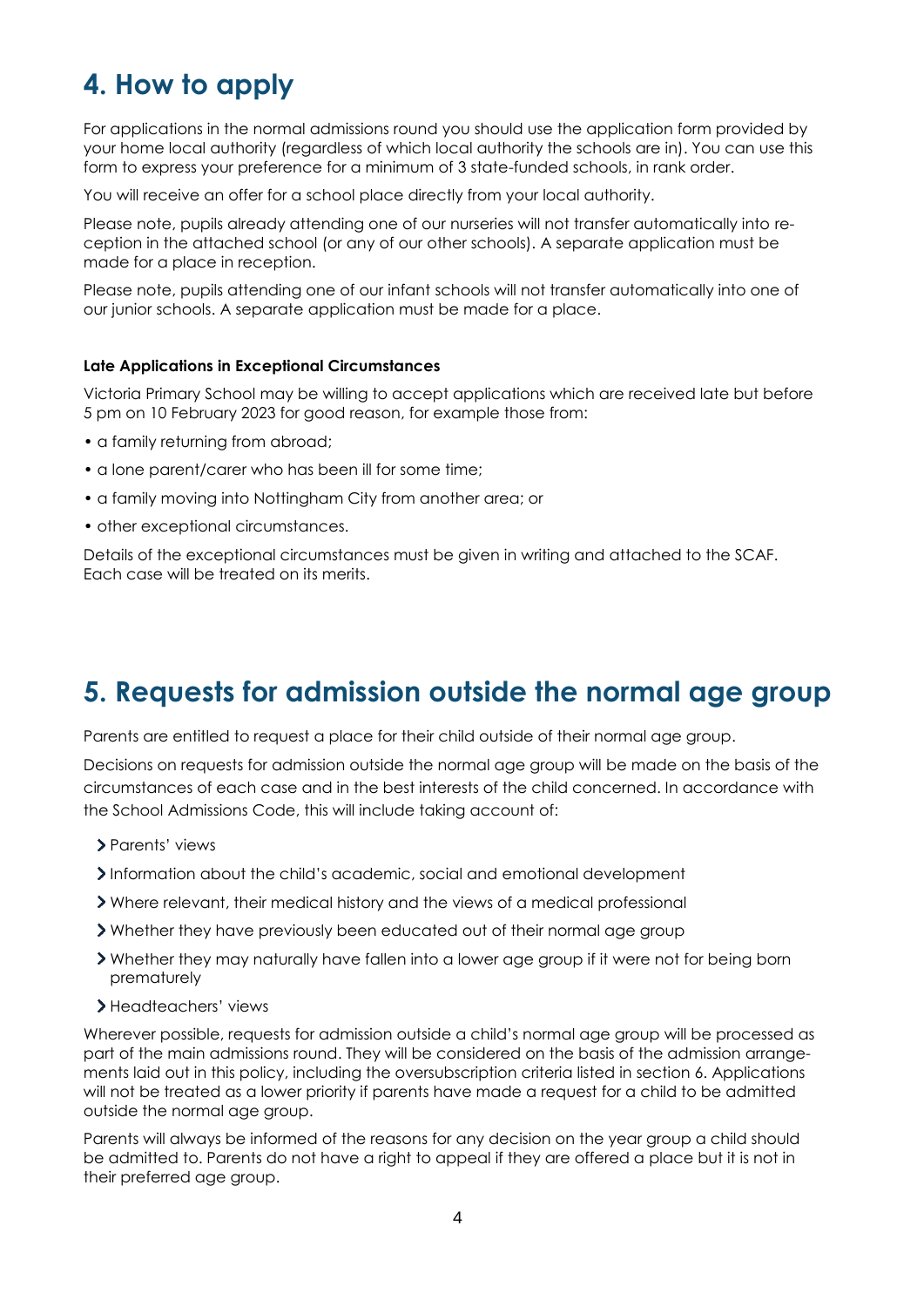# **4. How to apply**

For applications in the normal admissions round you should use the application form provided by your home local authority (regardless of which local authority the schools are in). You can use this form to express your preference for a minimum of 3 state-funded schools, in rank order.

You will receive an offer for a school place directly from your local authority.

Please note, pupils already attending one of our nurseries will not transfer automatically into reception in the attached school (or any of our other schools). A separate application must be made for a place in reception.

Please note, pupils attending one of our infant schools will not transfer automatically into one of our junior schools. A separate application must be made for a place.

#### **Late Applications in Exceptional Circumstances**

Victoria Primary School may be willing to accept applications which are received late but before 5 pm on 10 February 2023 for good reason, for example those from:

- a family returning from abroad;
- a lone parent/carer who has been ill for some time;
- a family moving into Nottingham City from another area; or
- other exceptional circumstances.

Details of the exceptional circumstances must be given in writing and attached to the SCAF. Each case will be treated on its merits.

### **5. Requests for admission outside the normal age group**

Parents are entitled to request a place for their child outside of their normal age group.

Decisions on requests for admission outside the normal age group will be made on the basis of the circumstances of each case and in the best interests of the child concerned. In accordance with the School Admissions Code, this will include taking account of:

- Parents' views
- Information about the child's academic, social and emotional development
- Where relevant, their medical history and the views of a medical professional
- Whether they have previously been educated out of their normal age group
- Whether they may naturally have fallen into a lower age group if it were not for being born prematurely
- > Headteachers' views

Wherever possible, requests for admission outside a child's normal age group will be processed as part of the main admissions round. They will be considered on the basis of the admission arrangements laid out in this policy, including the oversubscription criteria listed in section 6. Applications will not be treated as a lower priority if parents have made a request for a child to be admitted outside the normal age group.

Parents will always be informed of the reasons for any decision on the year group a child should be admitted to. Parents do not have a right to appeal if they are offered a place but it is not in their preferred age group.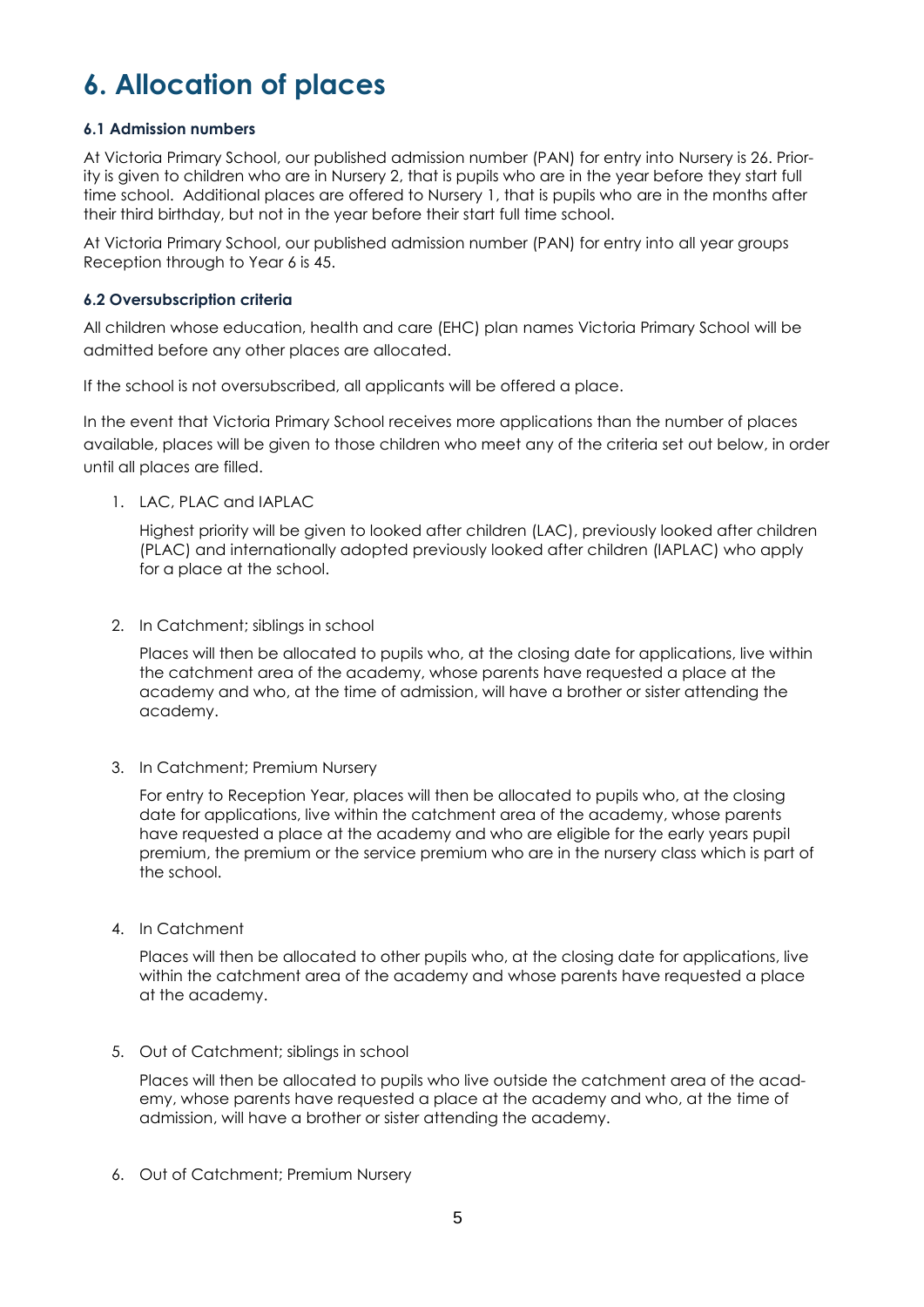# **6. Allocation of places**

#### **6.1 Admission numbers**

At Victoria Primary School, our published admission number (PAN) for entry into Nursery is 26. Priority is given to children who are in Nursery 2, that is pupils who are in the year before they start full time school. Additional places are offered to Nursery 1, that is pupils who are in the months after their third birthday, but not in the year before their start full time school.

At Victoria Primary School, our published admission number (PAN) for entry into all year groups Reception through to Year 6 is 45.

#### **6.2 Oversubscription criteria**

All children whose education, health and care (EHC) plan names Victoria Primary School will be admitted before any other places are allocated.

If the school is not oversubscribed, all applicants will be offered a place.

In the event that Victoria Primary School receives more applications than the number of places available, places will be given to those children who meet any of the criteria set out below, in order until all places are filled.

1. LAC, PLAC and IAPLAC

Highest priority will be given to looked after children (LAC), previously looked after children (PLAC) and internationally adopted previously looked after children (IAPLAC) who apply for a place at the school.

2. In Catchment; siblings in school

Places will then be allocated to pupils who, at the closing date for applications, live within the catchment area of the academy, whose parents have requested a place at the academy and who, at the time of admission, will have a brother or sister attending the academy.

3. In Catchment; Premium Nursery

For entry to Reception Year, places will then be allocated to pupils who, at the closing date for applications, live within the catchment area of the academy, whose parents have requested a place at the academy and who are eligible for the early years pupil premium, the premium or the service premium who are in the nursery class which is part of the school.

4. In Catchment

Places will then be allocated to other pupils who, at the closing date for applications, live within the catchment area of the academy and whose parents have requested a place at the academy.

5. Out of Catchment; siblings in school

Places will then be allocated to pupils who live outside the catchment area of the academy, whose parents have requested a place at the academy and who, at the time of admission, will have a brother or sister attending the academy.

6. Out of Catchment; Premium Nursery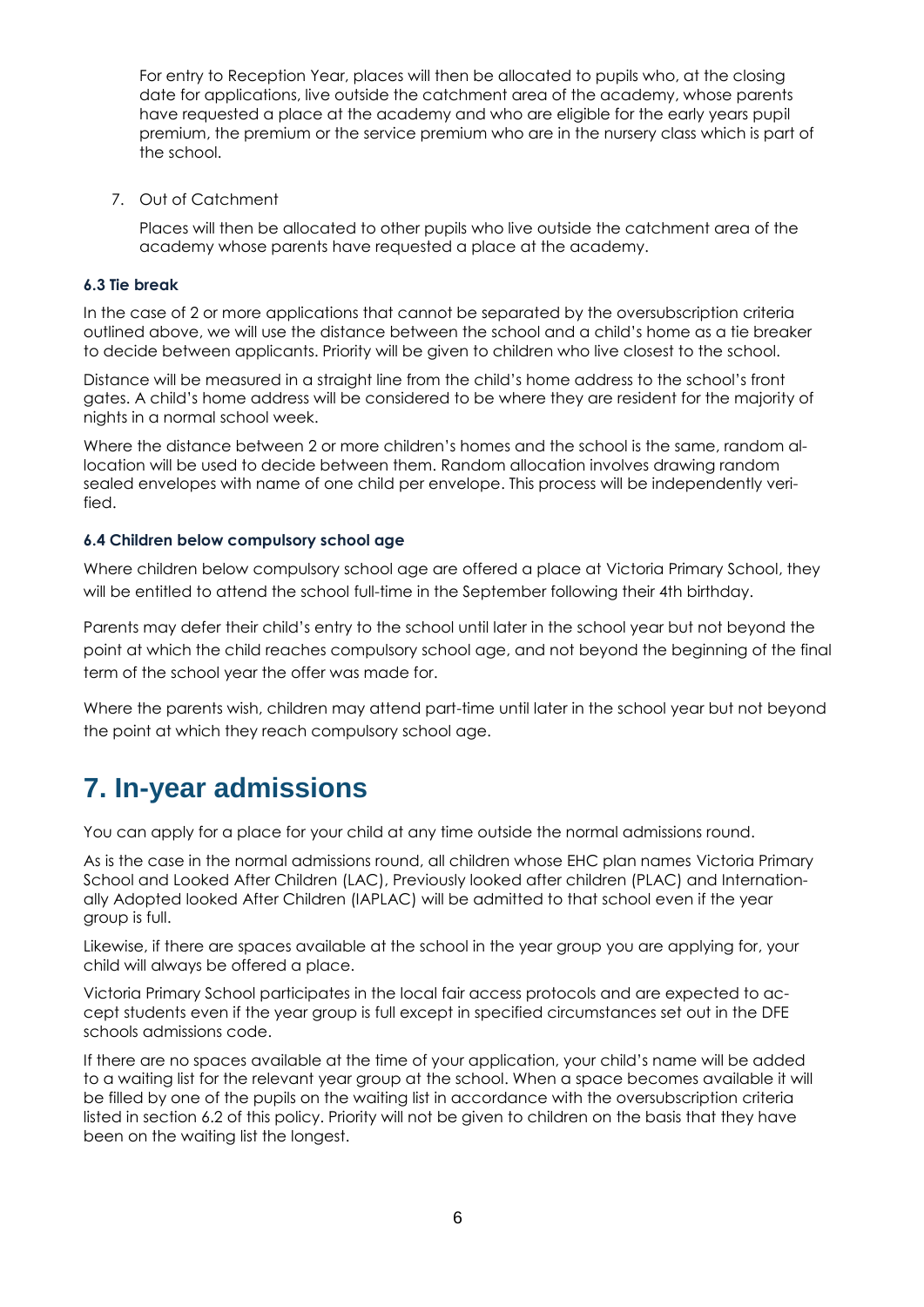For entry to Reception Year, places will then be allocated to pupils who, at the closing date for applications, live outside the catchment area of the academy, whose parents have requested a place at the academy and who are eligible for the early years pupil premium, the premium or the service premium who are in the nursery class which is part of the school.

7. Out of Catchment

Places will then be allocated to other pupils who live outside the catchment area of the academy whose parents have requested a place at the academy.

#### **6.3 Tie break**

In the case of 2 or more applications that cannot be separated by the oversubscription criteria outlined above, we will use the distance between the school and a child's home as a tie breaker to decide between applicants. Priority will be given to children who live closest to the school.

Distance will be measured in a straight line from the child's home address to the school's front gates. A child's home address will be considered to be where they are resident for the majority of nights in a normal school week.

Where the distance between 2 or more children's homes and the school is the same, random allocation will be used to decide between them. Random allocation involves drawing random sealed envelopes with name of one child per envelope. This process will be independently verified.

#### **6.4 Children below compulsory school age**

Where children below compulsory school age are offered a place at Victoria Primary School, they will be entitled to attend the school full-time in the September following their 4th birthday.

Parents may defer their child's entry to the school until later in the school year but not beyond the point at which the child reaches compulsory school age, and not beyond the beginning of the final term of the school year the offer was made for.

Where the parents wish, children may attend part-time until later in the school year but not beyond the point at which they reach compulsory school age.

### **7. In-year admissions**

You can apply for a place for your child at any time outside the normal admissions round.

As is the case in the normal admissions round, all children whose EHC plan names Victoria Primary School and Looked After Children (LAC), Previously looked after children (PLAC) and Internationally Adopted looked After Children (IAPLAC) will be admitted to that school even if the year group is full.

Likewise, if there are spaces available at the school in the year group you are applying for, your child will always be offered a place.

Victoria Primary School participates in the local fair access protocols and are expected to accept students even if the year group is full except in specified circumstances set out in the DFE schools admissions code.

If there are no spaces available at the time of your application, your child's name will be added to a waiting list for the relevant year group at the school. When a space becomes available it will be filled by one of the pupils on the waiting list in accordance with the oversubscription criteria listed in section 6.2 of this policy. Priority will not be given to children on the basis that they have been on the waiting list the longest.